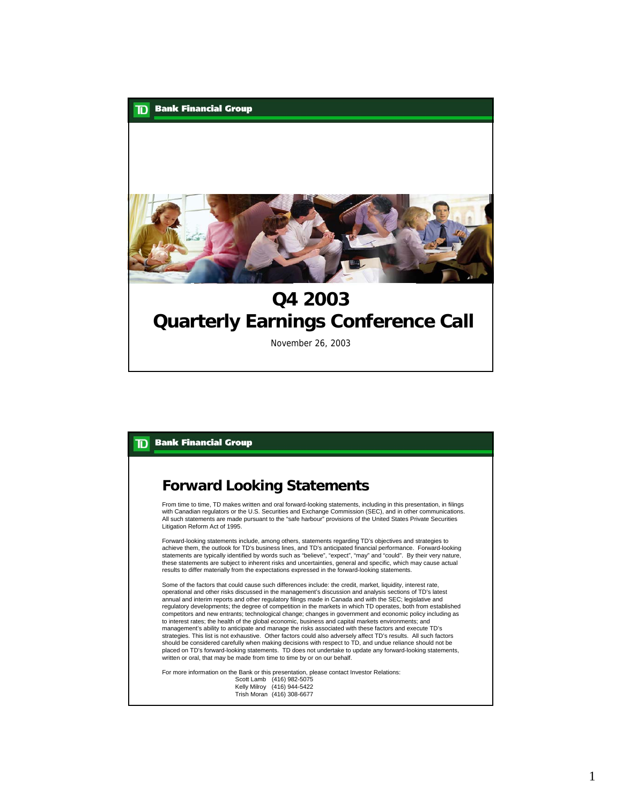

November 26, 2003

# **TD** Bank Financial Group

#### **Forward Looking Statements**

From time to time, TD makes written and oral forward-looking statements, including in this presentation, in filings with Canadian regulators or the U.S. Securities and Exchange Commission (SEC), and in other communications. All such statements are made pursuant to the "safe harbour" provisions of the United States Private Securities Litigation Reform Act of 1995.

Forward-looking statements include, among others, statements regarding TD's objectives and strategies to achieve them, the outlook for TD's business lines, and TD's anticipated financial performance. Forward-looking statements are typically identified by words such as "believe", "expect", "may" and "could". By their very nature,<br>these statements are subject to inherent risks and uncertainties, general and specific, which may cause act results to differ materially from the expectations expressed in the forward-looking statements.

Some of the factors that could cause such differences include: the credit, market, liquidity, interest rate, operational and other risks discussed in the management's discussion and analysis sections of TD's latest annual and interim reports and other regulatory filings made in Canada and with the SEC; legislative and regulatory developments; the degree of competition in the markets in which TD operates, both from established competitors and new entrants; technological change; changes in government and economic policy including as to interest rates; the health of the global economic, business and capital markets environments; and management's ability to anticipate and manage the risks associated with these factors and execute TD's strategies. This list is not exhaustive. Other factors could also adversely affect TD's results. All such factors should be considered carefully when making decisions with respect to TD, and undue reliance should not be placed on TD's forward-looking statements. TD does not undertake to update any forward-looking statements, written or oral, that may be made from time to time by or on our behalf.

For more information on the Bank or this presentation, please contact Investor Relations:<br>Scott Lamb (416) 982-5075<br>Kelly Milroy (416) 944-5422 Trish Moran (416) 308-6677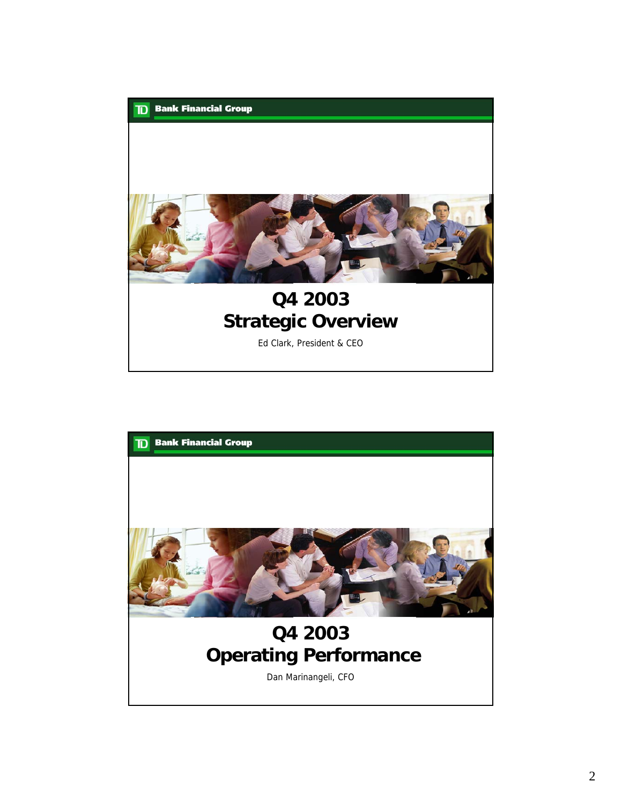

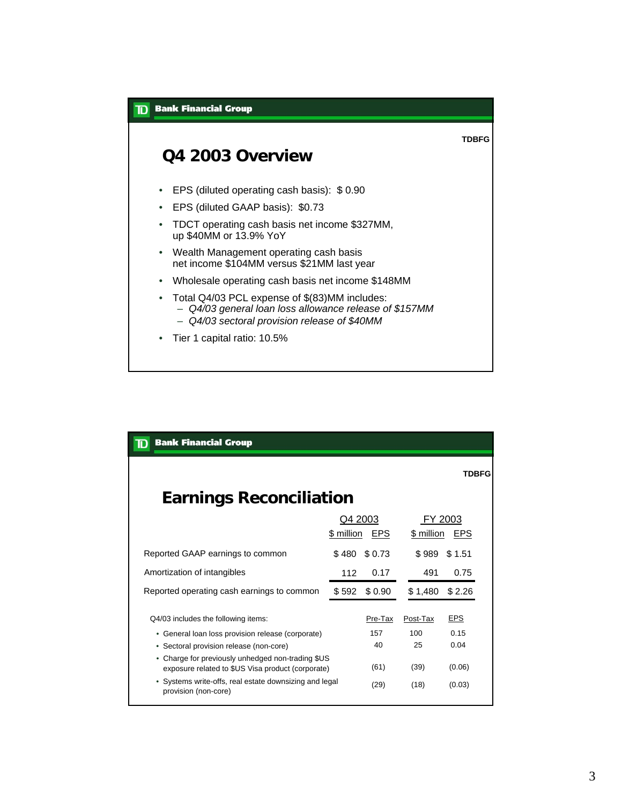

| <b>Bank Financial Group</b><br>TD                                                                      |                       |            |                       |              |  |
|--------------------------------------------------------------------------------------------------------|-----------------------|------------|-----------------------|--------------|--|
|                                                                                                        |                       |            |                       | <b>TDBFG</b> |  |
| <b>Earnings Reconciliation</b>                                                                         |                       |            |                       |              |  |
|                                                                                                        | Q4 2003<br>\$ million | <b>EPS</b> | FY 2003<br>\$ million | EPS          |  |
| Reported GAAP earnings to common                                                                       | \$480                 | \$0.73     | \$989                 | \$1.51       |  |
| Amortization of intangibles                                                                            | 112                   | 0.17       | 491                   | 0.75         |  |
| Reported operating cash earnings to common                                                             | \$592                 | \$0.90     | \$1,480               | \$2.26       |  |
| Q4/03 includes the following items:                                                                    |                       | Pre-Tax    | Post-Tax              | <u>EPS</u>   |  |
| • General loan loss provision release (corporate)                                                      |                       | 157        | 100                   | 0.15         |  |
| • Sectoral provision release (non-core)                                                                |                       | 40         | 25                    | 0.04         |  |
| • Charge for previously unhedged non-trading \$US<br>exposure related to \$US Visa product (corporate) |                       | (61)       | (39)                  | (0.06)       |  |
| • Systems write-offs, real estate downsizing and legal<br>provision (non-core)                         |                       | (29)       | (18)                  | (0.03)       |  |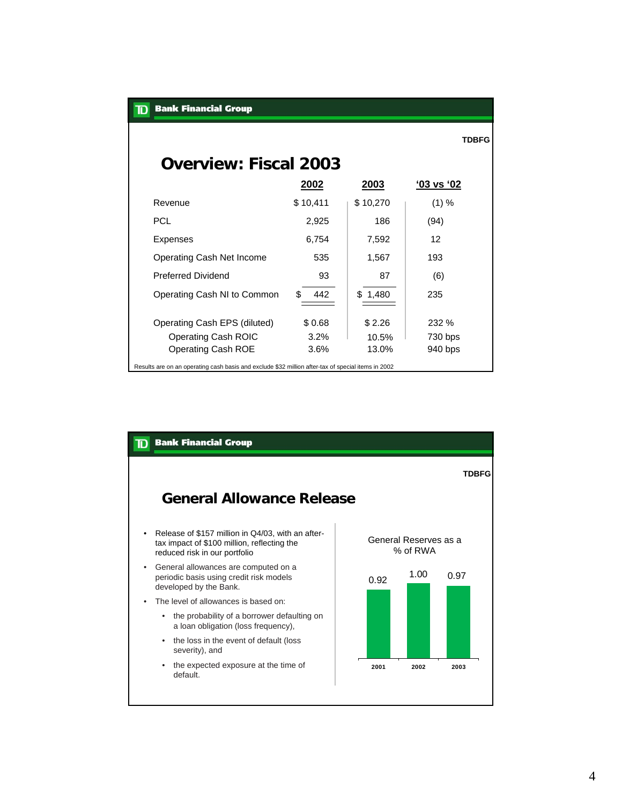| <b>Bank Financial Group</b><br>ID                                                                  |           |          |                |  |  |  |  |
|----------------------------------------------------------------------------------------------------|-----------|----------|----------------|--|--|--|--|
|                                                                                                    |           |          | <b>TDBFG</b>   |  |  |  |  |
| <b>Overview: Fiscal 2003</b>                                                                       |           |          |                |  |  |  |  |
|                                                                                                    | 2002      | 2003     | $'03$ vs $'02$ |  |  |  |  |
| Revenue                                                                                            | \$10,411  | \$10,270 | (1) %          |  |  |  |  |
| <b>PCL</b>                                                                                         | 2,925     | 186      | (94)           |  |  |  |  |
| <b>Expenses</b>                                                                                    | 6,754     | 7,592    | 12             |  |  |  |  |
| Operating Cash Net Income                                                                          | 535       | 1,567    | 193            |  |  |  |  |
| <b>Preferred Dividend</b>                                                                          | 93        | 87       | (6)            |  |  |  |  |
| Operating Cash NI to Common                                                                        | \$<br>442 | \$1,480  | 235            |  |  |  |  |
| Operating Cash EPS (diluted)                                                                       | \$0.68    | \$2.26   | 232 %          |  |  |  |  |
| <b>Operating Cash ROIC</b>                                                                         | 3.2%      | 10.5%    | 730 bps        |  |  |  |  |
| <b>Operating Cash ROE</b>                                                                          | 3.6%      | 13.0%    | 940 bps        |  |  |  |  |
| Results are on an operating cash basis and exclude \$32 million after-tax of special items in 2002 |           |          |                |  |  |  |  |

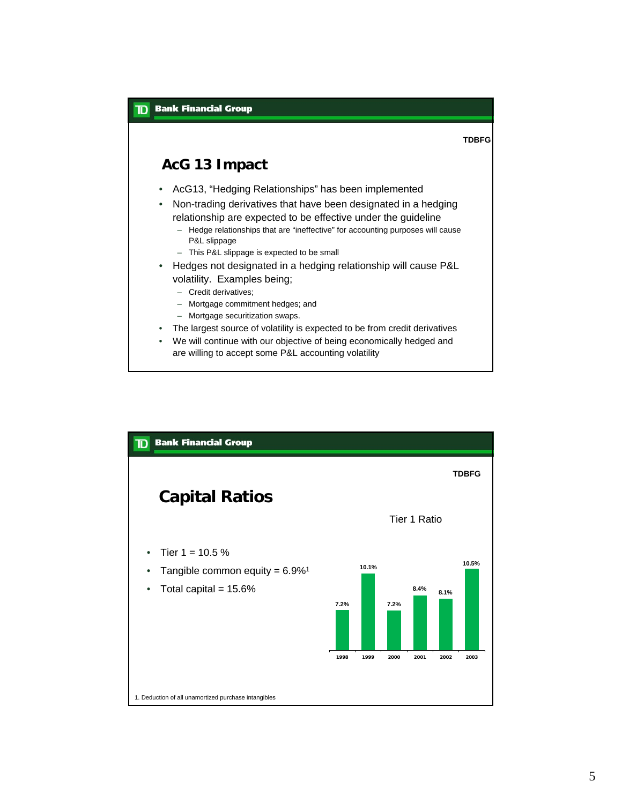

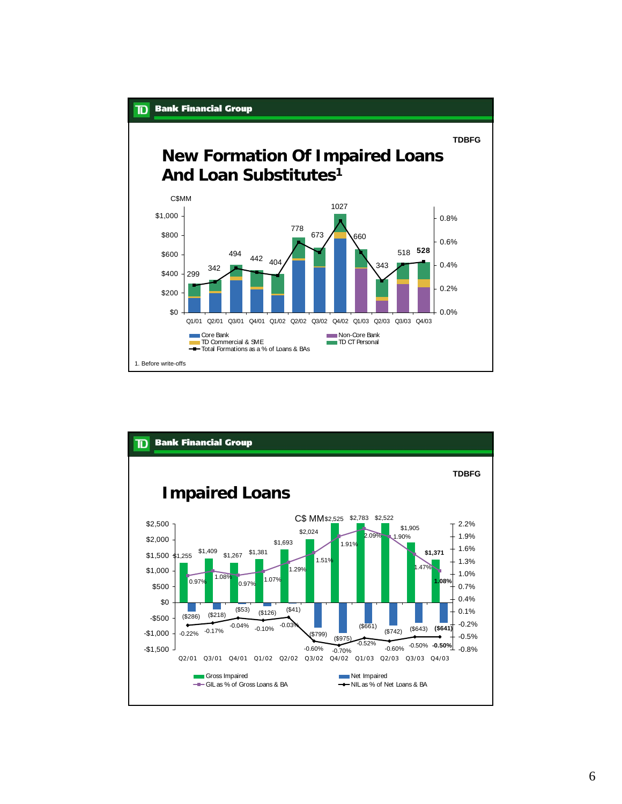

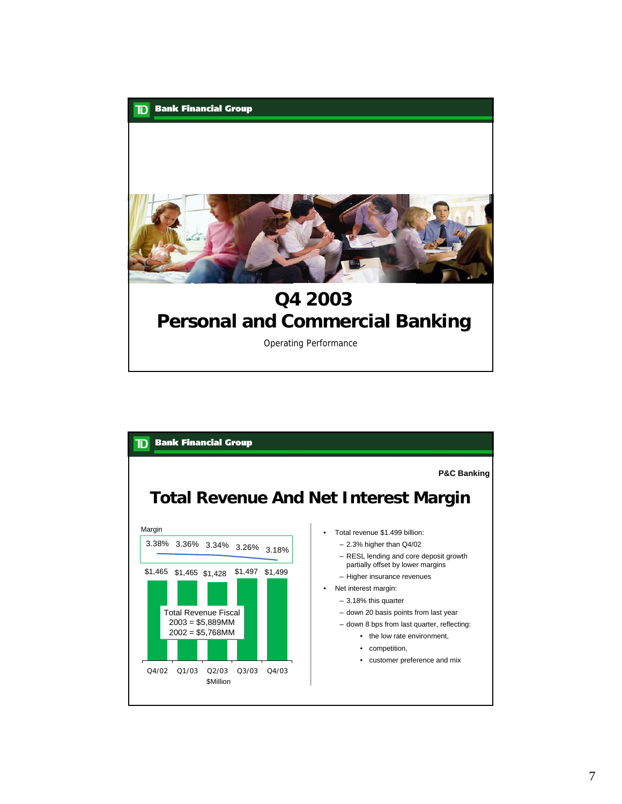

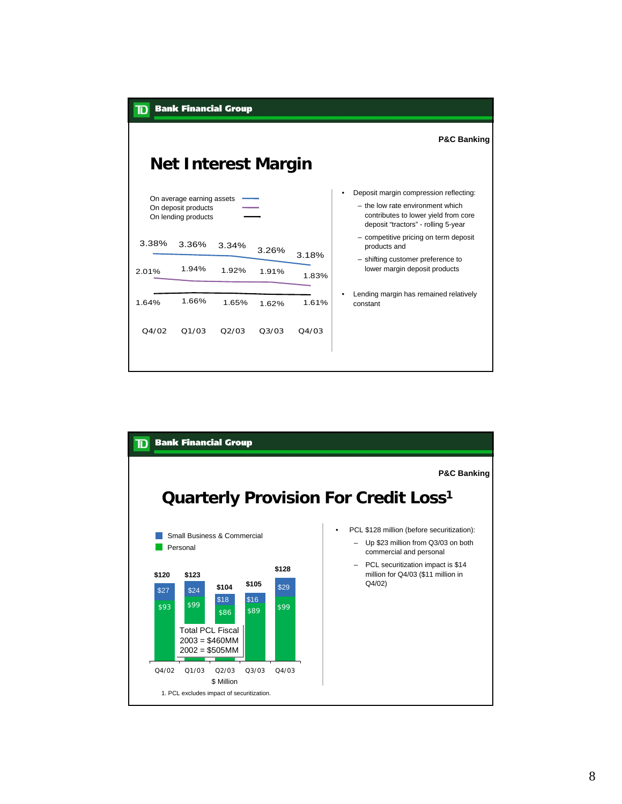

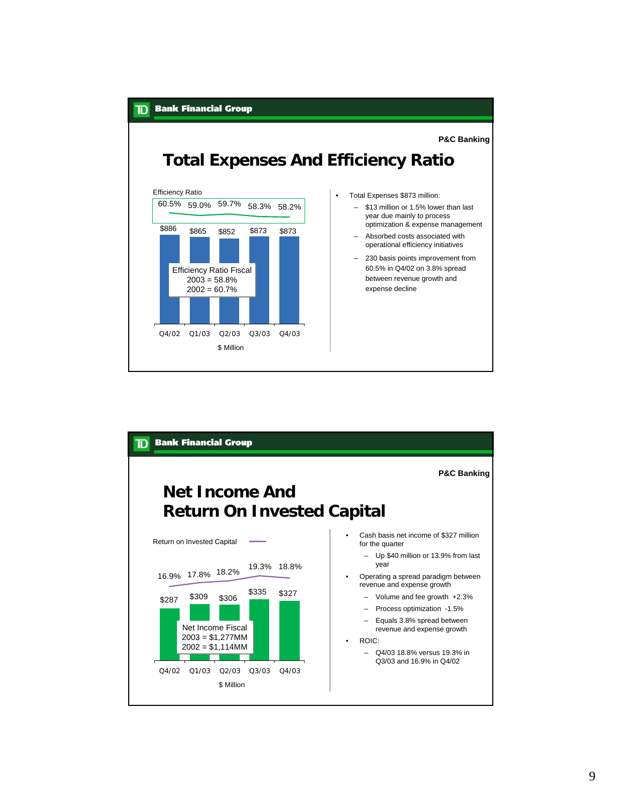

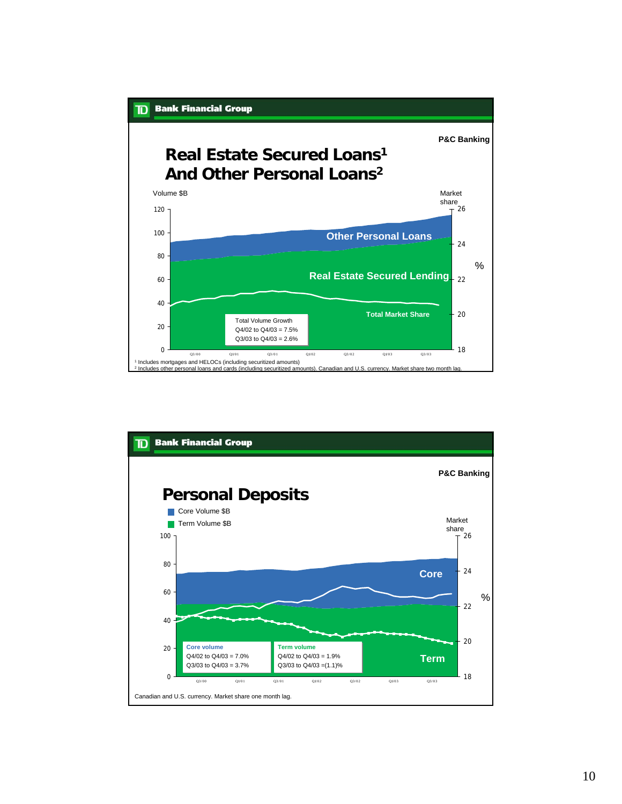

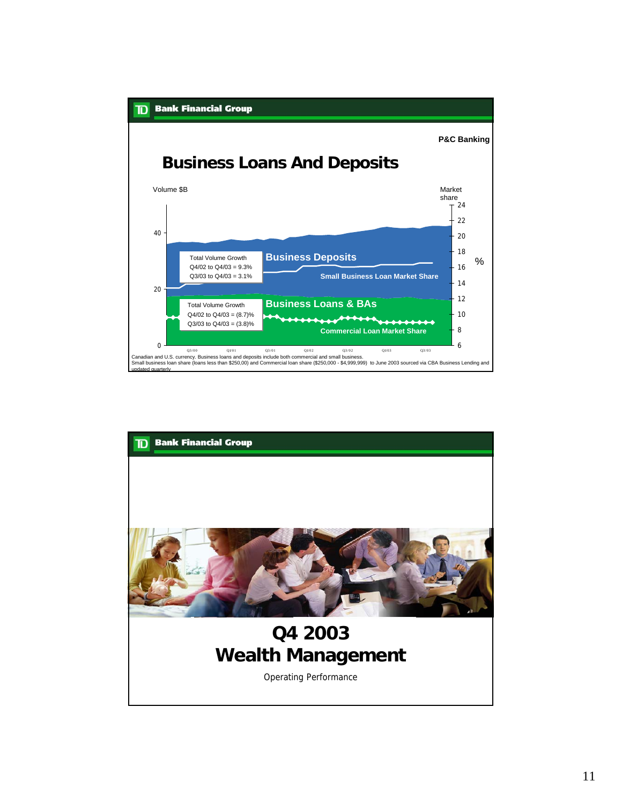

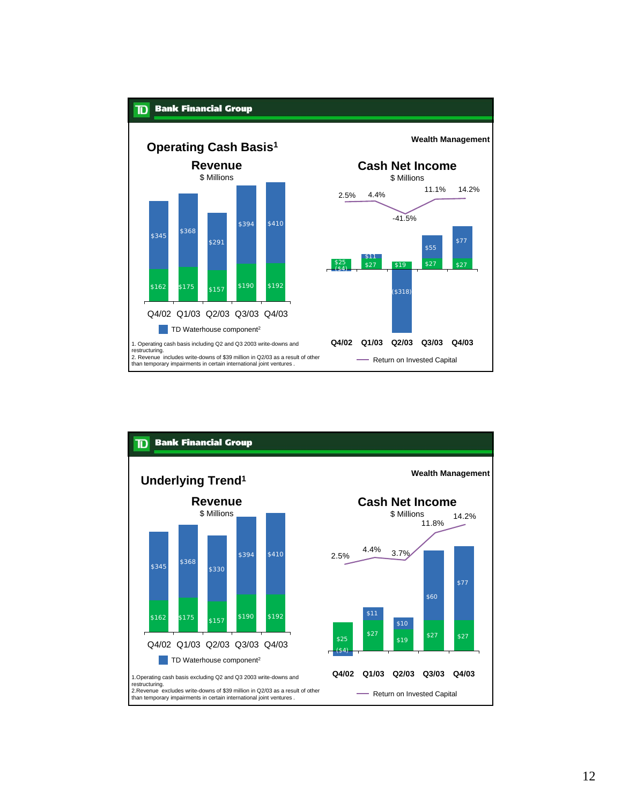

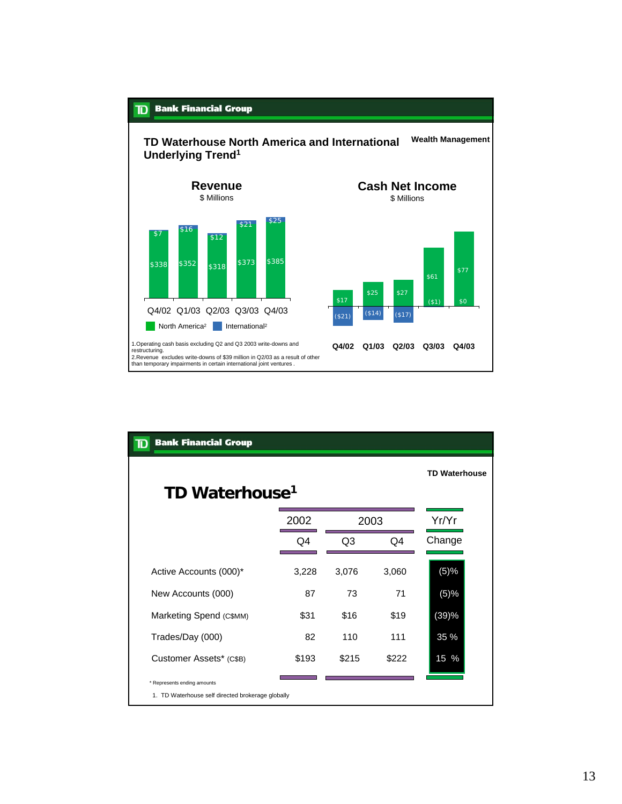

| <b>Bank Financial Group</b><br>$\mathbf T$                                       |                      |                |       |                         |
|----------------------------------------------------------------------------------|----------------------|----------------|-------|-------------------------|
| TD Waterhouse <sup>1</sup>                                                       | <b>TD Waterhouse</b> |                |       |                         |
|                                                                                  | 2002                 | 2003           |       | Yr/Yr                   |
|                                                                                  | Q4                   | Q <sub>3</sub> | Q4    | Change                  |
| Active Accounts (000)*                                                           | 3,228                | 3,076          | 3,060 | (5)%                    |
| New Accounts (000)                                                               | 87                   | 73             | 71    | (5)%                    |
| Marketing Spend (C\$MM)                                                          | \$31                 | \$16           | \$19  | (39)%                   |
| Trades/Day (000)                                                                 | 82                   | 110            | 111   | 35 %                    |
| Customer Assets* (C\$B)                                                          | \$193                | \$215          | \$222 | $15\,$<br>$\frac{9}{6}$ |
| * Represents ending amounts<br>1. TD Waterhouse self directed brokerage globally |                      |                |       |                         |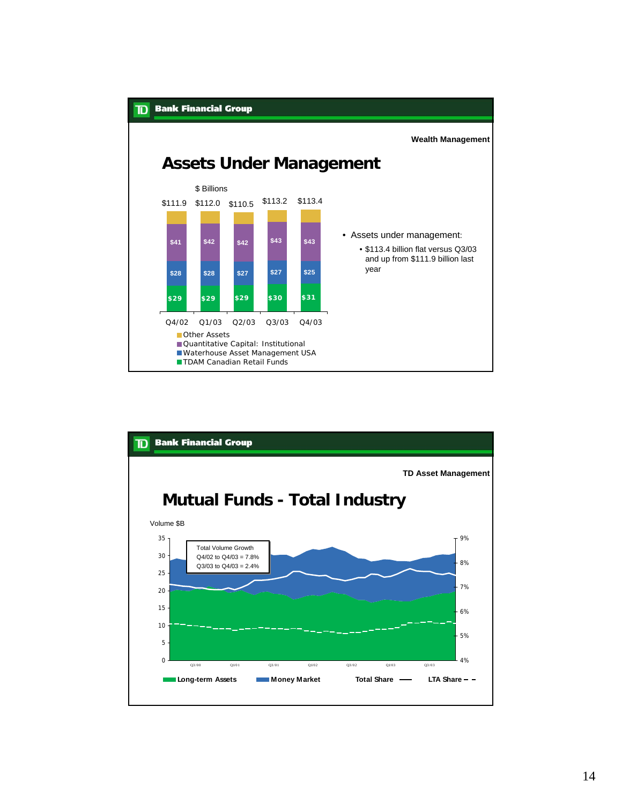

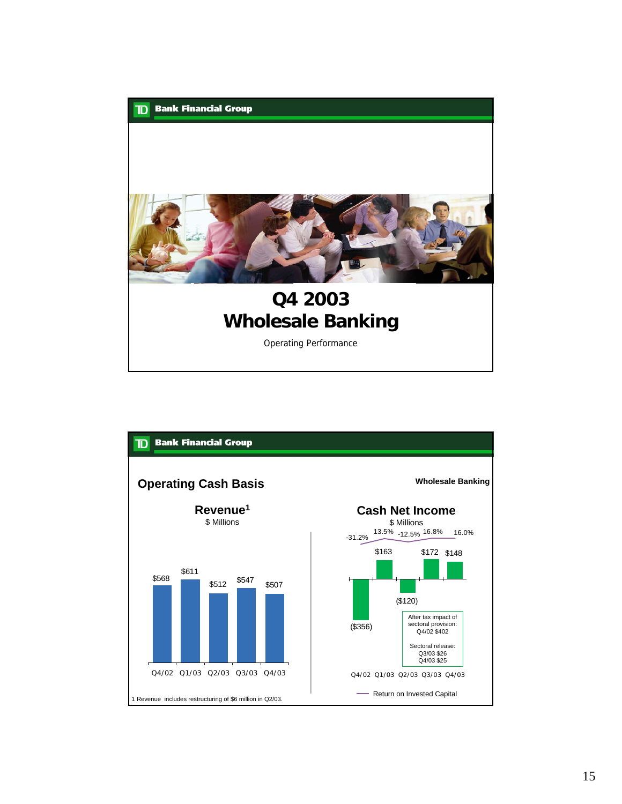

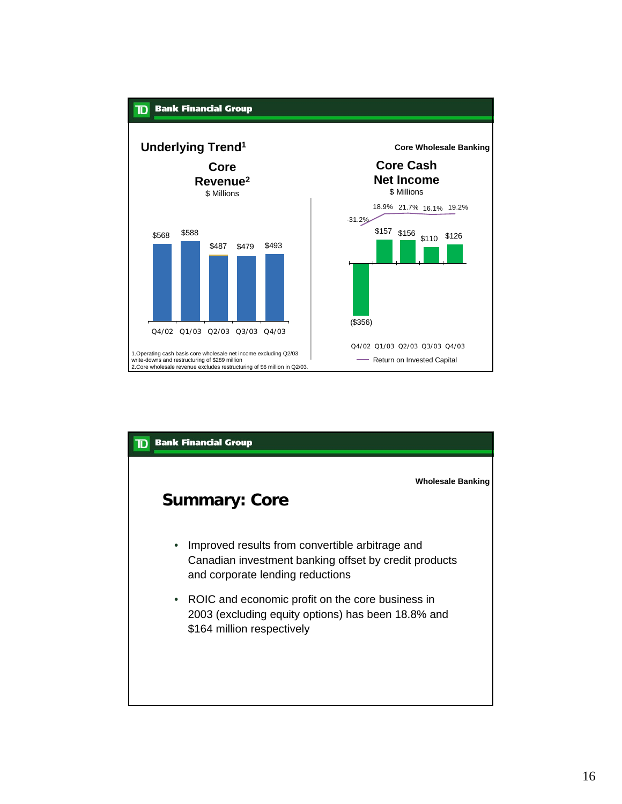

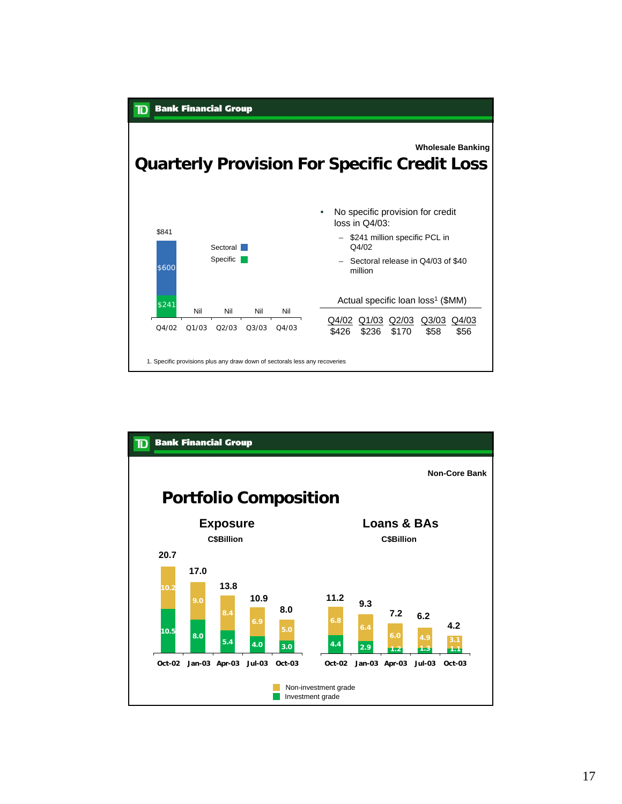

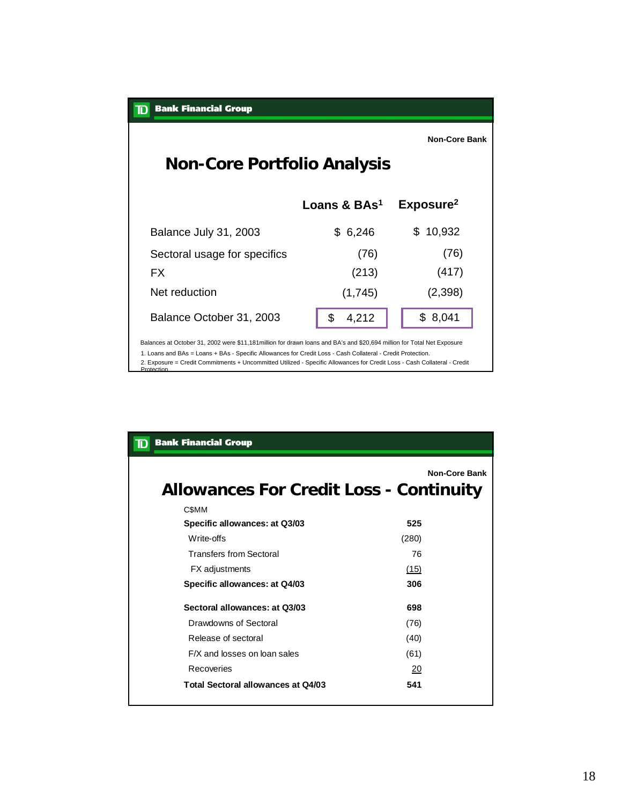| <b>Bank Financial Group</b><br>$\mathbf T$                                                                              |                          |                       |  |  |  |  |  |
|-------------------------------------------------------------------------------------------------------------------------|--------------------------|-----------------------|--|--|--|--|--|
|                                                                                                                         |                          | <b>Non-Core Bank</b>  |  |  |  |  |  |
| <b>Non-Core Portfolio Analysis</b>                                                                                      |                          |                       |  |  |  |  |  |
|                                                                                                                         | Loans & BAs <sup>1</sup> | Exposure <sup>2</sup> |  |  |  |  |  |
|                                                                                                                         |                          |                       |  |  |  |  |  |
| Balance July 31, 2003                                                                                                   | \$6,246                  | 10,932<br>\$.         |  |  |  |  |  |
| Sectoral usage for specifics                                                                                            | (76)                     | (76)                  |  |  |  |  |  |
| FX                                                                                                                      | (213)                    | (417)                 |  |  |  |  |  |
| Net reduction                                                                                                           | (1,745)                  | (2,398)               |  |  |  |  |  |
| Balance October 31, 2003                                                                                                | \$<br>4,212              | \$8,041               |  |  |  |  |  |
| Balances at October 31, 2002 were \$11,181 million for drawn loans and BA's and \$20,694 million for Total Net Exposure |                          |                       |  |  |  |  |  |

1. Loans and BAs = Loans + BAs - Specific Allowances for Credit Loss - Cash Collateral - Credit Protection.

2. Exposure = Credit Commitments + Uncommitted Utilized - Specific Allowances for Credit Loss - Cash Collateral - Credit **Protoction** 

| <b>Bank Financial Group</b>                                            |       |  |  |  |  |  |  |
|------------------------------------------------------------------------|-------|--|--|--|--|--|--|
| <b>Non-Core Bank</b><br><b>Allowances For Credit Loss - Continuity</b> |       |  |  |  |  |  |  |
| C\$MM                                                                  |       |  |  |  |  |  |  |
| Specific allowances: at Q3/03                                          | 525   |  |  |  |  |  |  |
| Write-offs                                                             | (280) |  |  |  |  |  |  |
| <b>Transfers from Sectoral</b>                                         | 76    |  |  |  |  |  |  |
| FX adjustments                                                         | (15)  |  |  |  |  |  |  |
| Specific allowances: at Q4/03                                          | 306   |  |  |  |  |  |  |
| Sectoral allowances: at 03/03                                          | 698   |  |  |  |  |  |  |
| Drawdowns of Sectoral                                                  | (76)  |  |  |  |  |  |  |
| Release of sectoral                                                    | (40)  |  |  |  |  |  |  |
| F/X and losses on loan sales                                           | (61)  |  |  |  |  |  |  |
| Recoveries                                                             | 20    |  |  |  |  |  |  |
| Total Sectoral allowances at Q4/03                                     | 541   |  |  |  |  |  |  |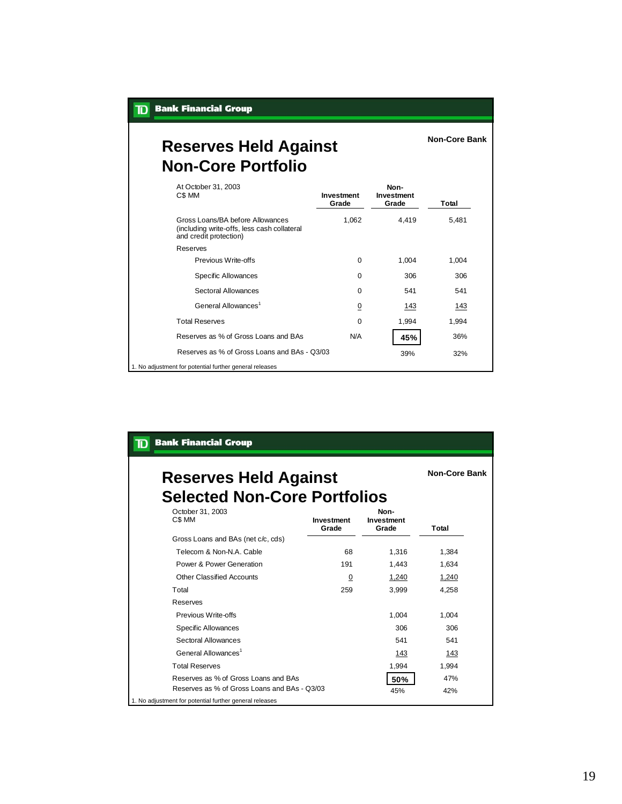| <b>D</b> Bank Financial Group |  |  |  |  |
|-------------------------------|--|--|--|--|
|-------------------------------|--|--|--|--|

#### **Reserves Held Against Non-Core Portfolio**

At October 31, 2003 **Investment Grade Non-Investment Grade Total** Gross Loans/BA before Allowances (including write-offs, less cash collateral and credit protection) 1,062 4,419 5,481 Reserves Previous Write-offs 0 1,004 1,004 Specific Allowances 0 306 306 Sectoral Allowances 0 541 541 General Allowances<sup>1</sup> 0  $\frac{0}{143}$  143 Total Reserves 0 1,994 1,994 Reserves as % of Gross Loans and BAs N/A **45%** 36% 1. No adjustment for potential further general releases Reserves as % of Gross Loans and BAs - Q3/03 39% 32% 32%

**Non-Core Bank**

| <b>Bank Financial Group</b><br>D                                    |                            |                             |       |
|---------------------------------------------------------------------|----------------------------|-----------------------------|-------|
| <b>Reserves Held Against</b><br><b>Selected Non-Core Portfolios</b> | <b>Non-Core Bank</b>       |                             |       |
| October 31, 2003<br>C\$ MM                                          | <b>Investment</b><br>Grade | Non-<br>Investment<br>Grade | Total |
| Gross Loans and BAs (net c/c, cds)                                  |                            |                             |       |
| Telecom & Non-N.A. Cable                                            | 68                         | 1,316                       | 1,384 |
| Power & Power Generation                                            | 191                        | 1.443                       | 1.634 |
| Other Classified Accounts                                           | $\overline{0}$             | 1,240                       | 1,240 |
| Total                                                               | 259                        | 3.999                       | 4.258 |
| Reserves                                                            |                            |                             |       |
| Previous Write-offs                                                 |                            | 1,004                       | 1,004 |
| <b>Specific Allowances</b>                                          |                            | 306                         | 306   |
| Sectoral Allowances                                                 |                            | 541                         | 541   |
| General Allowances <sup>1</sup>                                     |                            | 143                         | 143   |
| <b>Total Reserves</b>                                               |                            | 1,994                       | 1,994 |
| Reserves as % of Gross Loans and BAs                                |                            | 50%                         | 47%   |
| Reserves as % of Gross Loans and BAs - Q3/03                        |                            | 45%                         | 42%   |
| 1. No adjustment for potential further general releases             |                            |                             |       |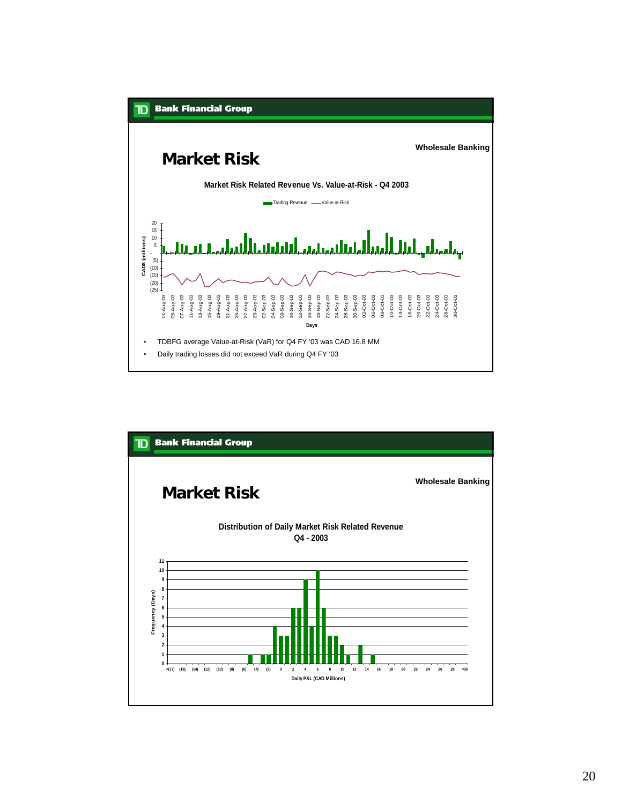

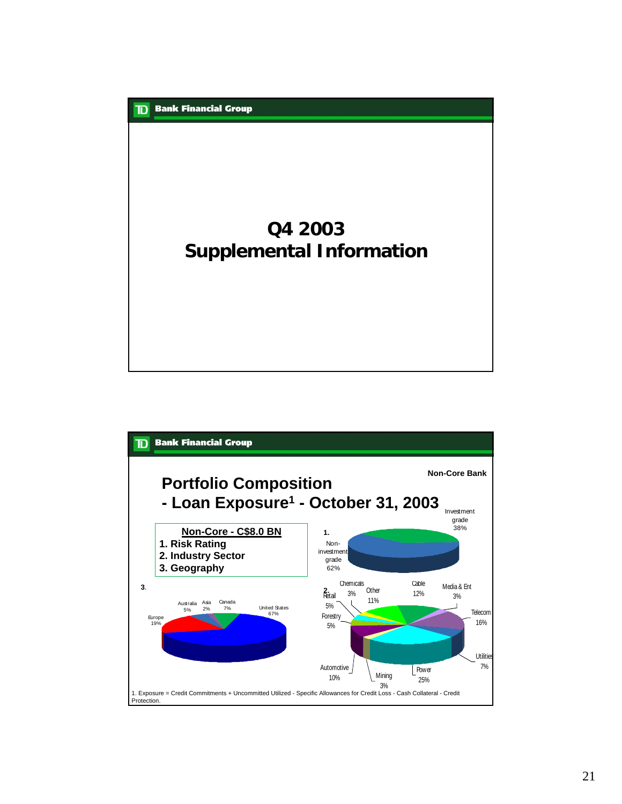

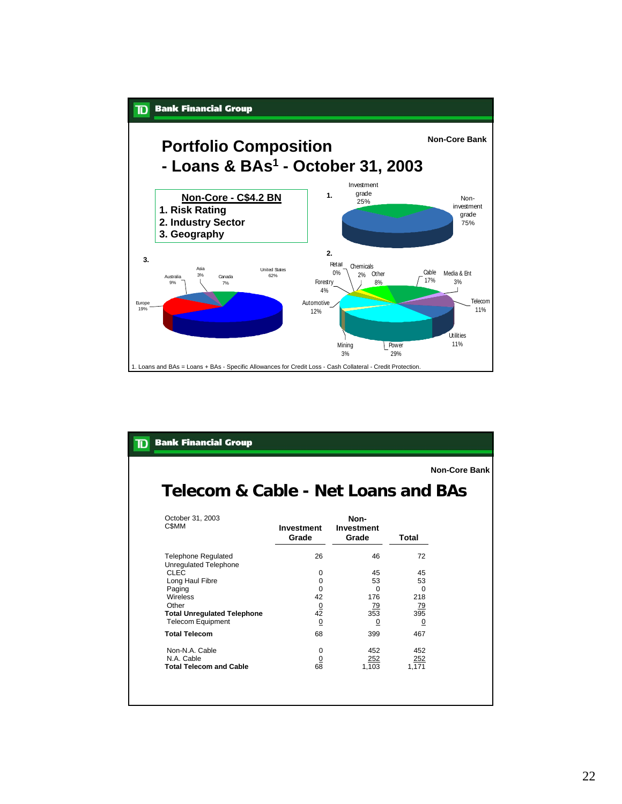

| <b>Bank Financial Group</b>                                                                                             |                                                 |                                                |                                                |                      |  |  |  |
|-------------------------------------------------------------------------------------------------------------------------|-------------------------------------------------|------------------------------------------------|------------------------------------------------|----------------------|--|--|--|
| Telecom & Cable - Net Loans and BAs                                                                                     |                                                 |                                                |                                                | <b>Non-Core Bank</b> |  |  |  |
| October 31, 2003<br>C\$MM                                                                                               | Investment<br>Grade                             | Non-<br><b>Investment</b><br>Grade             | Total                                          |                      |  |  |  |
| <b>Telephone Requlated</b><br>Unregulated Telephone<br>CLEC                                                             | 26<br>$\Omega$                                  | 46<br>45                                       | 72<br>45                                       |                      |  |  |  |
| Long Haul Fibre<br>Paging<br><b>Wireless</b><br>Other<br><b>Total Unregulated Telephone</b><br><b>Telecom Equipment</b> | $\Omega$<br>$\Omega$<br>42<br>$rac{0}{42}$<br>0 | 53<br>$\Omega$<br>176<br><u>79</u><br>353<br>0 | 53<br>$\Omega$<br>218<br>$\frac{79}{395}$<br>0 |                      |  |  |  |
| <b>Total Telecom</b>                                                                                                    | 68                                              | 399                                            | 467                                            |                      |  |  |  |
| Non-N.A. Cable<br>N.A. Cable<br><b>Total Telecom and Cable</b>                                                          | $\Omega$<br>$\Omega$<br>68                      | 452<br>252<br>1,103                            | 452<br>252<br>1,171                            |                      |  |  |  |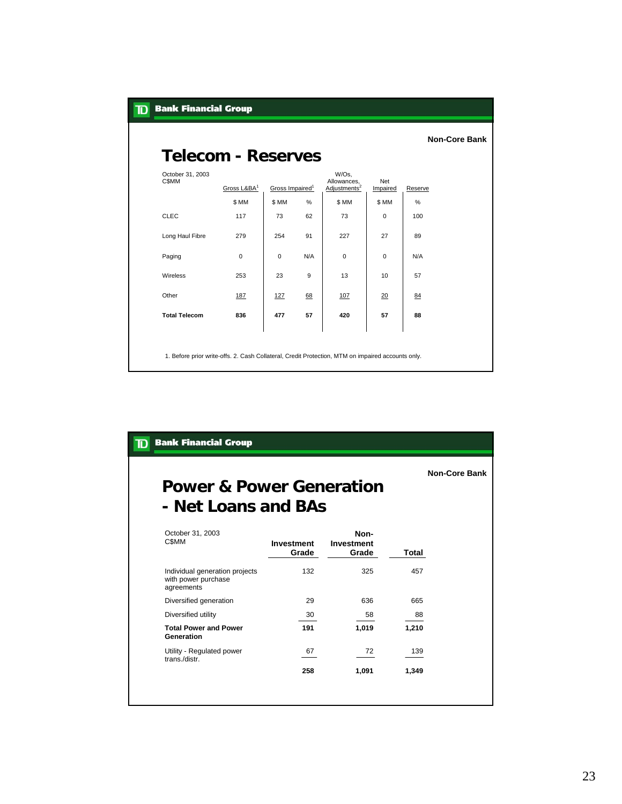| <b>Bank Financial Group</b>     |                                                                                                   |                             |     |                                                  |                 |         |                      |  |
|---------------------------------|---------------------------------------------------------------------------------------------------|-----------------------------|-----|--------------------------------------------------|-----------------|---------|----------------------|--|
| <b>Telecom - Reserves</b>       |                                                                                                   |                             |     |                                                  |                 |         | <b>Non-Core Bank</b> |  |
| October 31, 2003<br><b>CSMM</b> | Gross L&BA <sup>1</sup>                                                                           | Gross Impaired <sup>1</sup> |     | W/Os,<br>Allowances,<br>Adjustments <sup>2</sup> | Net<br>Impaired | Reserve |                      |  |
|                                 | \$MM                                                                                              | \$ MM                       | %   | \$MM                                             | \$MM            | %       |                      |  |
| <b>CLEC</b>                     | 117                                                                                               | 73                          | 62  | 73                                               | 0               | 100     |                      |  |
| Long Haul Fibre                 | 279                                                                                               | 254                         | 91  | 227                                              | 27              | 89      |                      |  |
| Paging                          | $\mathbf 0$                                                                                       | $\mathbf 0$                 | N/A | 0                                                | 0               | N/A     |                      |  |
| Wireless                        | 253                                                                                               | 23                          | 9   | 13                                               | 10              | 57      |                      |  |
| Other                           | 187                                                                                               | 127                         | 68  | 107                                              | 20              | 84      |                      |  |
| <b>Total Telecom</b>            | 836                                                                                               | 477                         | 57  | 420                                              | 57              | 88      |                      |  |
|                                 | 1. Before prior write-offs. 2. Cash Collateral, Credit Protection, MTM on impaired accounts only. |                             |     |                                                  |                 |         |                      |  |

| <b>Bank Financial Group</b><br>TD                                   |                            |                                    |       |                      |  |  |  |
|---------------------------------------------------------------------|----------------------------|------------------------------------|-------|----------------------|--|--|--|
| <b>Power &amp; Power Generation</b><br>- Net Loans and BAs          |                            |                                    |       | <b>Non-Core Bank</b> |  |  |  |
| October 31, 2003<br>C\$MM                                           | <b>Investment</b><br>Grade | Non-<br><b>Investment</b><br>Grade | Total |                      |  |  |  |
| Individual generation projects<br>with power purchase<br>agreements | 132                        | 325                                | 457   |                      |  |  |  |
| Diversified generation                                              | 29                         | 636                                | 665   |                      |  |  |  |
| Diversified utility                                                 | 30                         | 58                                 | 88    |                      |  |  |  |
| <b>Total Power and Power</b><br>Generation                          | 191                        | 1.019                              | 1.210 |                      |  |  |  |
| Utility - Regulated power<br>trans./distr.                          | 67                         | 72                                 | 139   |                      |  |  |  |
|                                                                     | 258                        | 1,091                              | 1,349 |                      |  |  |  |
|                                                                     |                            |                                    |       |                      |  |  |  |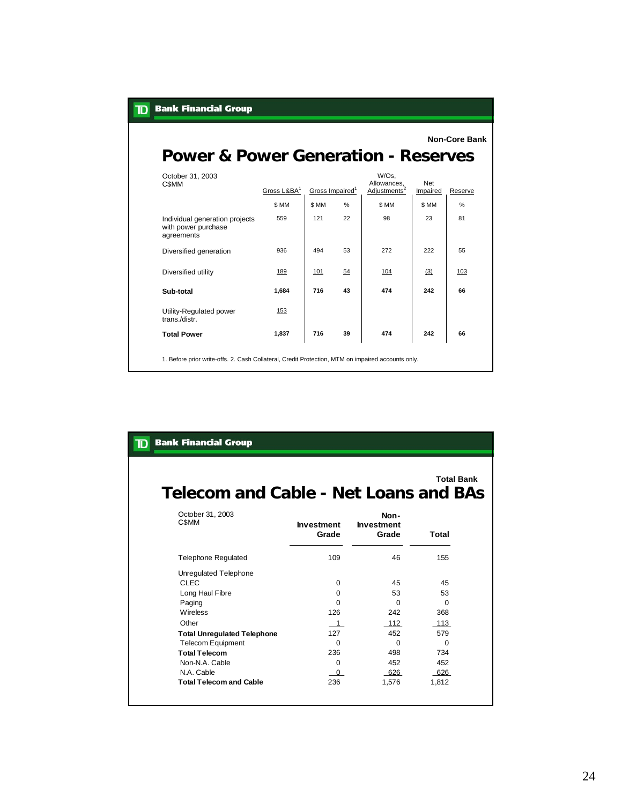| <b>Bank Financial Group</b><br>${\bf D}$                            |                                                                                                   |                             |      |                                                  |                 |                      |  |
|---------------------------------------------------------------------|---------------------------------------------------------------------------------------------------|-----------------------------|------|--------------------------------------------------|-----------------|----------------------|--|
| <b>Power &amp; Power Generation - Reserves</b>                      |                                                                                                   |                             |      |                                                  |                 | <b>Non-Core Bank</b> |  |
| October 31, 2003<br><b>CSMM</b>                                     | Gross L&BA1                                                                                       | Gross Impaired <sup>1</sup> |      | W/Os,<br>Allowances,<br>Adjustments <sup>2</sup> | Net<br>Impaired | Reserve              |  |
|                                                                     | \$MM                                                                                              | \$MM                        | $\%$ | \$ MM                                            | \$MM            | $\frac{9}{6}$        |  |
| Individual generation projects<br>with power purchase<br>agreements | 559                                                                                               | 121                         | 22   | 98                                               | 23              | 81                   |  |
| Diversified generation                                              | 936                                                                                               | 494                         | 53   | 272                                              | 222             | 55                   |  |
| Diversified utility                                                 | 189                                                                                               | 101                         | 54   | 104                                              | (3)             | 103                  |  |
| Sub-total                                                           | 1.684                                                                                             | 716                         | 43   | 474                                              | 242             | 66                   |  |
| Utility-Regulated power<br>trans./distr.                            | 153                                                                                               |                             |      |                                                  |                 |                      |  |
| <b>Total Power</b>                                                  | 1,837                                                                                             | 716                         | 39   | 474                                              | 242             | 66                   |  |
|                                                                     | 1. Before prior write-offs. 2. Cash Collateral, Credit Protection, MTM on impaired accounts only. |                             |      |                                                  |                 |                      |  |

|  | <b>TO</b> Bank Financial Group |  |
|--|--------------------------------|--|
|  |                                |  |

**Total Bank**

## **Telecom and Cable - Net Loans and BAs**

| October 31, 2003<br>C\$MM          | <b>Investment</b><br>Grade | Non-<br><b>Investment</b><br>Grade | Total    |
|------------------------------------|----------------------------|------------------------------------|----------|
| <b>Telephone Regulated</b>         | 109                        | 46                                 | 155      |
| Unregulated Telephone              |                            |                                    |          |
| <b>CLEC</b>                        | 0                          | 45                                 | 45       |
| Long Haul Fibre                    | 0                          | 53                                 | 53       |
| Paging                             | O                          | 0                                  | $\Omega$ |
| Wireless                           | 126                        | 242                                | 368      |
| Other                              | $\mathbf{1}$               | 112                                | 113      |
| <b>Total Unregulated Telephone</b> | 127                        | 452                                | 579      |
| <b>Telecom Equipment</b>           | 0                          | 0                                  | 0        |
| <b>Total Telecom</b>               | 236                        | 498                                | 734      |
| Non-N.A. Cable                     | 0                          | 452                                | 452      |
| N.A. Cable                         | $\Omega$                   | 626                                | 626      |
| <b>Total Telecom and Cable</b>     | 236                        | 1,576                              | 1,812    |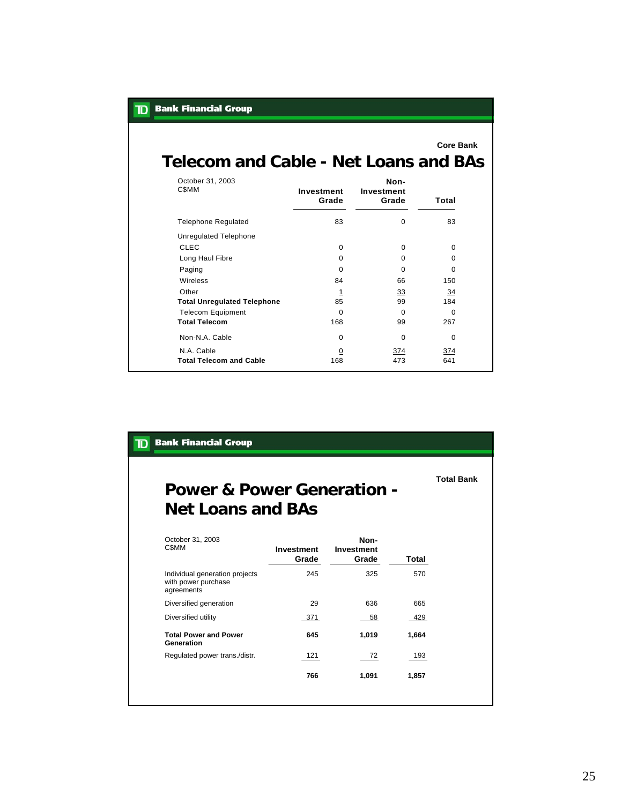| <b>Bank Financial Group</b><br>TD     |                     |                             |                  |
|---------------------------------------|---------------------|-----------------------------|------------------|
| Telecom and Cable - Net Loans and BAs |                     |                             | <b>Core Bank</b> |
| October 31, 2003<br><b>CSMM</b>       | Investment<br>Grade | Non-<br>Investment<br>Grade | Total            |
| <b>Telephone Requlated</b>            | 83                  | 0                           | 83               |
| Unregulated Telephone                 |                     |                             |                  |
| CLEC.                                 | $\Omega$            | $\Omega$                    | 0                |
| Long Haul Fibre                       | $\Omega$            | $\Omega$                    | 0                |
| Paging                                | $\Omega$            | $\Omega$                    | $\Omega$         |
| Wireless                              | 84                  | 66                          | 150              |
| Other                                 | <u>1</u>            | $\overline{33}$             | 34               |
| <b>Total Unregulated Telephone</b>    | 85                  | 99                          | 184              |
| <b>Telecom Equipment</b>              | $\Omega$            | $\Omega$                    | $\Omega$         |
| <b>Total Telecom</b>                  | 168                 | 99                          | 267              |
| Non-N.A. Cable                        | $\Omega$            | $\Omega$                    | $\Omega$         |
| N.A. Cable                            | $\overline{0}$      | 374                         | 374              |
| <b>Total Telecom and Cable</b>        | 168                 | 473                         | 641              |

| <b>Bank Financial Group</b><br>TD                                   |                            |                                    |       |                   |
|---------------------------------------------------------------------|----------------------------|------------------------------------|-------|-------------------|
| <b>Power &amp; Power Generation -</b><br><b>Net Loans and BAs</b>   |                            |                                    |       | <b>Total Bank</b> |
| October 31, 2003<br><b>CSMM</b>                                     | <b>Investment</b><br>Grade | Non-<br><b>Investment</b><br>Grade | Total |                   |
| Individual generation projects<br>with power purchase<br>agreements | 245                        | 325                                | 570   |                   |
| Diversified generation                                              | 29                         | 636                                | 665   |                   |
| Diversified utility                                                 | 371                        | 58                                 | 429   |                   |
| <b>Total Power and Power</b><br>Generation                          | 645                        | 1,019                              | 1,664 |                   |
| Regulated power trans./distr.                                       | 121                        | 72                                 | 193   |                   |
|                                                                     | 766                        | 1,091                              | 1,857 |                   |